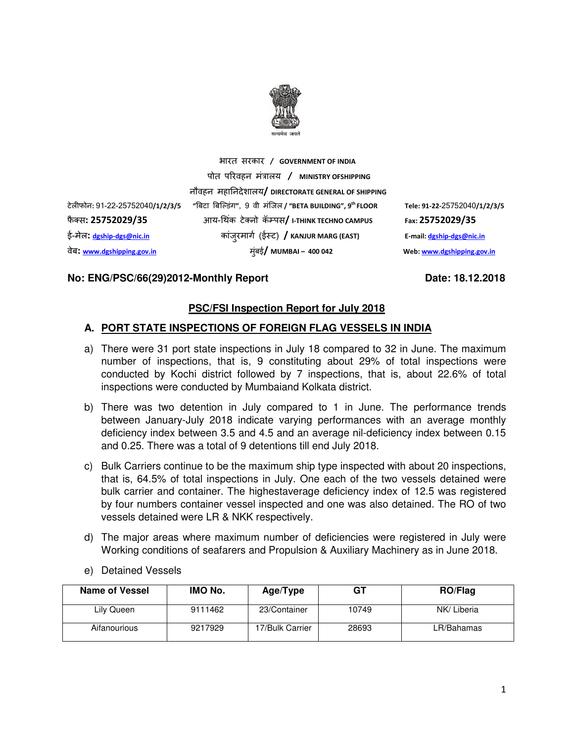

भारत सरकार **/ GOVERNMENT OF INDIA**

नौवहन महानदेशालय**/ DIRECTORATE GENERAL OF SHIPPING**

टेलफोन**:** 91-22-25752040**/1/2/3/5 "**#बटा #बि&डंग**"**, 9 वी मंिजल **/ "BETA BUILDING", 9th FLOOR Tele: 91-22-**25752040**/1/2/3/5**  फै - स**: 25752029/35** आय-/थक टे- नो क ं ॅ2 पस**/ I-THINK TECHNO CAMPUS Fax: 25752029/35**  ई-मेल**: dgship-dgs@nic.in** कांजुरमाग5 (ई7 ट) **/ KANJUR MARG (EAST) E-mail: dgship-dgs@nic.in** वेब**: www.dgshipping.gov.in** मुंबई**/ MUMBAI – 400 042 Web: www.dgshipping.gov.in**

### No: ENG/PSC/66(29)2012-Monthly Report Date: 18.12.2018

### **PSC/FSI Inspection Report for July 2018**

#### **A. PORT STATE INSPECTIONS OF FOREIGN FLAG VESSELS IN INDIA**

पोत प रवहन मंालय **/ MINISTRY OFSHIPPING**

- a) There were 31 port state inspections in July 18 compared to 32 in June. The maximum number of inspections, that is, 9 constituting about 29% of total inspections were conducted by Kochi district followed by 7 inspections, that is, about 22.6% of total inspections were conducted by Mumbaiand Kolkata district.
- b) There was two detention in July compared to 1 in June. The performance trends between January-July 2018 indicate varying performances with an average monthly deficiency index between 3.5 and 4.5 and an average nil-deficiency index between 0.15 and 0.25. There was a total of 9 detentions till end July 2018.
- c) Bulk Carriers continue to be the maximum ship type inspected with about 20 inspections, that is, 64.5% of total inspections in July. One each of the two vessels detained were bulk carrier and container. The highestaverage deficiency index of 12.5 was registered by four numbers container vessel inspected and one was also detained. The RO of two vessels detained were LR & NKK respectively.
- d) The major areas where maximum number of deficiencies were registered in July were Working conditions of seafarers and Propulsion & Auxiliary Machinery as in June 2018.
- e) Detained Vessels

| Name of Vessel | IMO No. | Age/Type        | GT    | <b>RO/Flag</b> |
|----------------|---------|-----------------|-------|----------------|
| Lily Queen     | 9111462 | 23/Container    | 10749 | NK/ Liberia    |
| Aifanourious   | 9217929 | 17/Bulk Carrier | 28693 | LR/Bahamas     |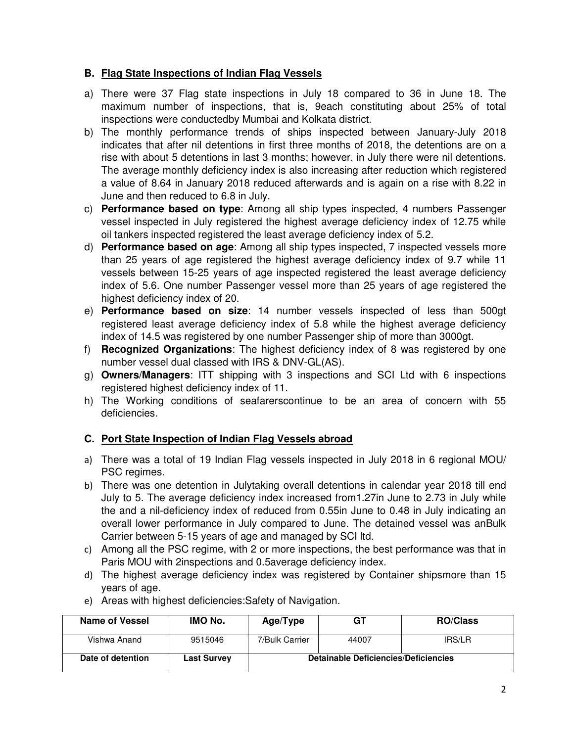### **B. Flag State Inspections of Indian Flag Vessels**

- a) There were 37 Flag state inspections in July 18 compared to 36 in June 18. The maximum number of inspections, that is, 9each constituting about 25% of total inspections were conductedby Mumbai and Kolkata district.
- b) The monthly performance trends of ships inspected between January-July 2018 indicates that after nil detentions in first three months of 2018, the detentions are on a rise with about 5 detentions in last 3 months; however, in July there were nil detentions. The average monthly deficiency index is also increasing after reduction which registered a value of 8.64 in January 2018 reduced afterwards and is again on a rise with 8.22 in June and then reduced to 6.8 in July.
- c) **Performance based on type**: Among all ship types inspected, 4 numbers Passenger vessel inspected in July registered the highest average deficiency index of 12.75 while oil tankers inspected registered the least average deficiency index of 5.2.
- d) **Performance based on age**: Among all ship types inspected, 7 inspected vessels more than 25 years of age registered the highest average deficiency index of 9.7 while 11 vessels between 15-25 years of age inspected registered the least average deficiency index of 5.6. One number Passenger vessel more than 25 years of age registered the highest deficiency index of 20.
- e) **Performance based on size**: 14 number vessels inspected of less than 500gt registered least average deficiency index of 5.8 while the highest average deficiency index of 14.5 was registered by one number Passenger ship of more than 3000gt.
- f) **Recognized Organizations**: The highest deficiency index of 8 was registered by one number vessel dual classed with IRS & DNV-GL(AS).
- g) **Owners/Managers**: ITT shipping with 3 inspections and SCI Ltd with 6 inspections registered highest deficiency index of 11.
- h) The Working conditions of seafarerscontinue to be an area of concern with 55 deficiencies.

### **C. Port State Inspection of Indian Flag Vessels abroad**

- a) There was a total of 19 Indian Flag vessels inspected in July 2018 in 6 regional MOU/ PSC regimes.
- b) There was one detention in Julytaking overall detentions in calendar year 2018 till end July to 5. The average deficiency index increased from1.27in June to 2.73 in July while the and a nil-deficiency index of reduced from 0.55in June to 0.48 in July indicating an overall lower performance in July compared to June. The detained vessel was anBulk Carrier between 5-15 years of age and managed by SCI ltd.
- c) Among all the PSC regime, with 2 or more inspections, the best performance was that in Paris MOU with 2inspections and 0.5average deficiency index.
- d) The highest average deficiency index was registered by Container shipsmore than 15 years of age.

| Name of Vessel    | IMO No.            | Age/Type                                    | GT    | <b>RO/Class</b> |  |  |  |
|-------------------|--------------------|---------------------------------------------|-------|-----------------|--|--|--|
| Vishwa Anand      | 9515046            | 7/Bulk Carrier                              | 44007 | IRS/LR          |  |  |  |
| Date of detention | <b>Last Survey</b> | <b>Detainable Deficiencies/Deficiencies</b> |       |                 |  |  |  |

e) Areas with highest deficiencies:Safety of Navigation.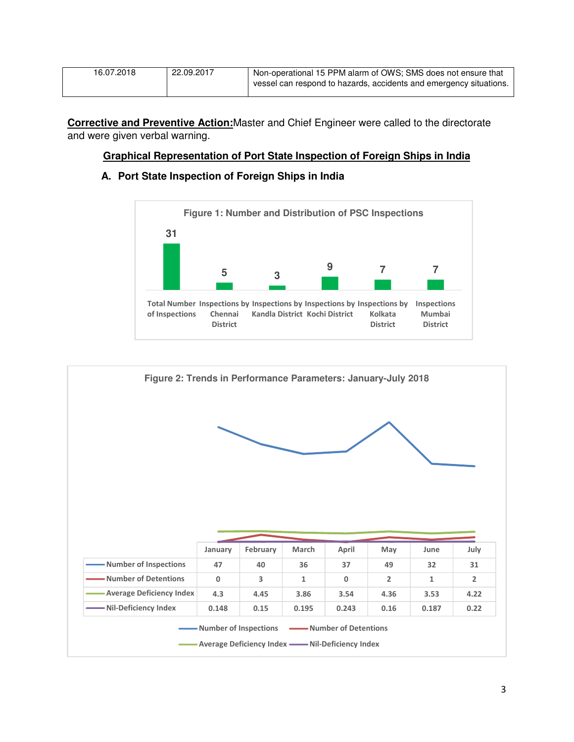| 16.07.2018 | 22.09.2017 | Non-operational 15 PPM alarm of OWS; SMS does not ensure that      |
|------------|------------|--------------------------------------------------------------------|
|            |            | vessel can respond to hazards, accidents and emergency situations. |

**Corrective and Preventive Action:**Master and Chief Engineer were called to the directorate and were given verbal warning.

#### **Graphical Representation of Port State Inspection of Foreign Ships in India**

### **A. Port State Inspection of Foreign Ships in India**



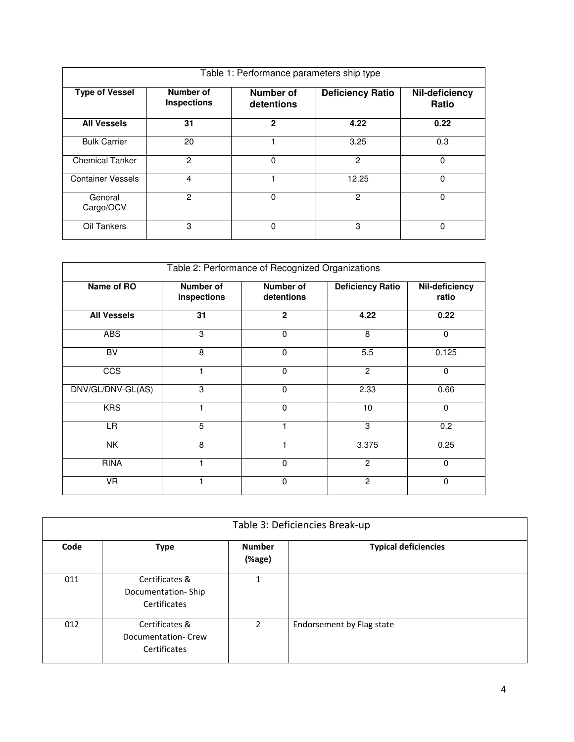| Table 1: Performance parameters ship type |                                 |                                |                         |                         |  |  |  |  |
|-------------------------------------------|---------------------------------|--------------------------------|-------------------------|-------------------------|--|--|--|--|
| <b>Type of Vessel</b>                     | Number of<br><b>Inspections</b> | <b>Number of</b><br>detentions | <b>Deficiency Ratio</b> | Nil-deficiency<br>Ratio |  |  |  |  |
| <b>All Vessels</b>                        | 31                              | $\mathbf{2}$                   | 4.22                    | 0.22                    |  |  |  |  |
| <b>Bulk Carrier</b>                       | 20                              |                                | 3.25                    | 0.3                     |  |  |  |  |
| <b>Chemical Tanker</b>                    | $\mathcal{P}$                   | $\Omega$                       | 2                       | 0                       |  |  |  |  |
| <b>Container Vessels</b>                  | 4                               |                                | 12.25                   | 0                       |  |  |  |  |
| General<br>Cargo/OCV                      | $\overline{2}$                  | $\Omega$                       | $\overline{c}$          | $\Omega$                |  |  |  |  |
| Oil Tankers                               | 3                               | 0                              | 3                       | O                       |  |  |  |  |

| Table 2: Performance of Recognized Organizations |                          |                         |                         |                         |  |  |  |  |
|--------------------------------------------------|--------------------------|-------------------------|-------------------------|-------------------------|--|--|--|--|
| Name of RO                                       | Number of<br>inspections | Number of<br>detentions | <b>Deficiency Ratio</b> | Nil-deficiency<br>ratio |  |  |  |  |
| <b>All Vessels</b>                               | 31                       | $\overline{2}$          | 4.22                    | 0.22                    |  |  |  |  |
| <b>ABS</b>                                       | 3                        | 0                       | 8                       | $\mathbf 0$             |  |  |  |  |
| BV                                               | 8                        | $\mathbf 0$             | 5.5                     | 0.125                   |  |  |  |  |
| CCS                                              |                          | $\mathbf 0$             | $\overline{2}$          | $\mathbf 0$             |  |  |  |  |
| DNV/GL/DNV-GL(AS)                                | 3                        | $\Omega$                | 2.33                    | 0.66                    |  |  |  |  |
| <b>KRS</b>                                       | 1                        | $\Omega$                | 10                      | $\mathbf 0$             |  |  |  |  |
| LR.                                              | $\overline{5}$           |                         | 3                       | 0.2                     |  |  |  |  |
| <b>NK</b>                                        | 8                        |                         | 3.375                   | 0.25                    |  |  |  |  |
| <b>RINA</b>                                      | 1                        | $\mathbf{0}$            | $\overline{2}$          | $\Omega$                |  |  |  |  |
| <b>VR</b>                                        |                          | $\Omega$                | $\overline{2}$          | $\mathbf 0$             |  |  |  |  |

|      | Table 3: Deficiencies Break-up                       |                         |                             |  |  |  |  |  |
|------|------------------------------------------------------|-------------------------|-----------------------------|--|--|--|--|--|
| Code | <b>Type</b>                                          | <b>Number</b><br>(%age) | <b>Typical deficiencies</b> |  |  |  |  |  |
| 011  | Certificates &<br>Documentation-Ship<br>Certificates | 1                       |                             |  |  |  |  |  |
| 012  | Certificates &<br>Documentation-Crew<br>Certificates | $\mathcal{P}$           | Endorsement by Flag state   |  |  |  |  |  |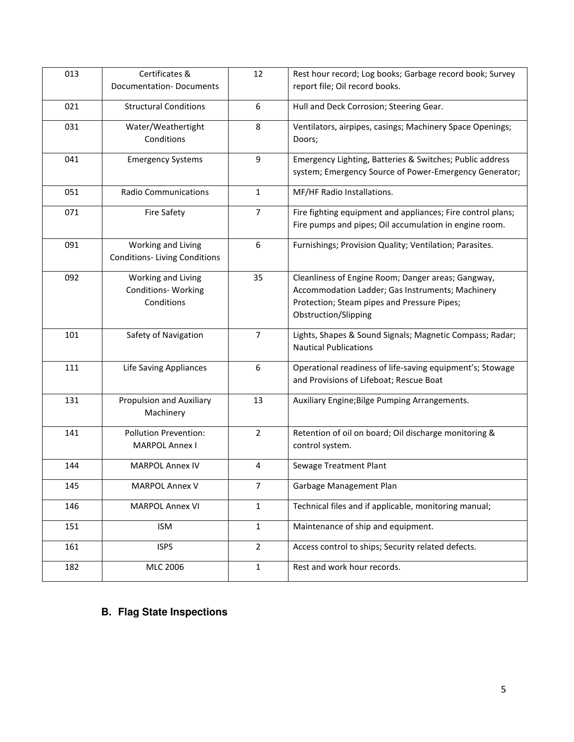| 013 | Certificates &                      | 12             | Rest hour record; Log books; Garbage record book; Survey    |
|-----|-------------------------------------|----------------|-------------------------------------------------------------|
|     | <b>Documentation-Documents</b>      |                | report file; Oil record books.                              |
| 021 | <b>Structural Conditions</b>        | 6              | Hull and Deck Corrosion; Steering Gear.                     |
| 031 | Water/Weathertight                  | 8              | Ventilators, airpipes, casings; Machinery Space Openings;   |
|     | Conditions                          |                | Doors;                                                      |
| 041 | <b>Emergency Systems</b>            | 9              | Emergency Lighting, Batteries & Switches; Public address    |
|     |                                     |                | system; Emergency Source of Power-Emergency Generator;      |
| 051 | <b>Radio Communications</b>         | 1              | MF/HF Radio Installations.                                  |
| 071 | Fire Safety                         | $\overline{7}$ | Fire fighting equipment and appliances; Fire control plans; |
|     |                                     |                | Fire pumps and pipes; Oil accumulation in engine room.      |
| 091 | Working and Living                  | 6              | Furnishings; Provision Quality; Ventilation; Parasites.     |
|     | <b>Conditions-Living Conditions</b> |                |                                                             |
| 092 | Working and Living                  | 35             | Cleanliness of Engine Room; Danger areas; Gangway,          |
|     | <b>Conditions- Working</b>          |                | Accommodation Ladder; Gas Instruments; Machinery            |
|     | Conditions                          |                | Protection; Steam pipes and Pressure Pipes;                 |
|     |                                     |                | Obstruction/Slipping                                        |
| 101 | Safety of Navigation                | $\overline{7}$ | Lights, Shapes & Sound Signals; Magnetic Compass; Radar;    |
|     |                                     |                | <b>Nautical Publications</b>                                |
| 111 | Life Saving Appliances              | 6              | Operational readiness of life-saving equipment's; Stowage   |
|     |                                     |                | and Provisions of Lifeboat; Rescue Boat                     |
| 131 | Propulsion and Auxiliary            | 13             | Auxiliary Engine; Bilge Pumping Arrangements.               |
|     | Machinery                           |                |                                                             |
| 141 | <b>Pollution Prevention:</b>        | 2              | Retention of oil on board; Oil discharge monitoring &       |
|     | <b>MARPOL Annex I</b>               |                | control system.                                             |
| 144 | <b>MARPOL Annex IV</b>              | $\overline{4}$ | Sewage Treatment Plant                                      |
| 145 | MARPOL Annex V                      | 7              | Garbage Management Plan                                     |
| 146 | <b>MARPOL Annex VI</b>              | 1              | Technical files and if applicable, monitoring manual;       |
| 151 | <b>ISM</b>                          | $\mathbf{1}$   | Maintenance of ship and equipment.                          |
| 161 | <b>ISPS</b>                         | $\overline{2}$ | Access control to ships; Security related defects.          |
| 182 | MLC 2006                            | $\mathbf 1$    | Rest and work hour records.                                 |
|     |                                     |                |                                                             |

# **B. Flag State Inspections**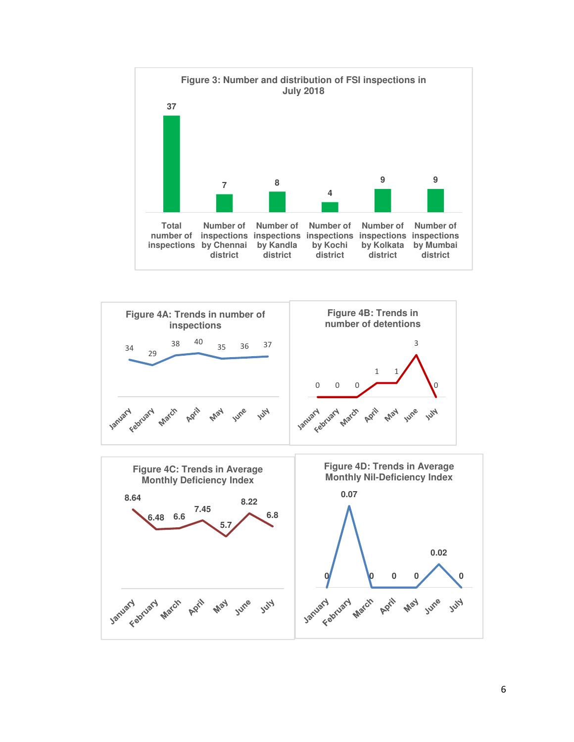



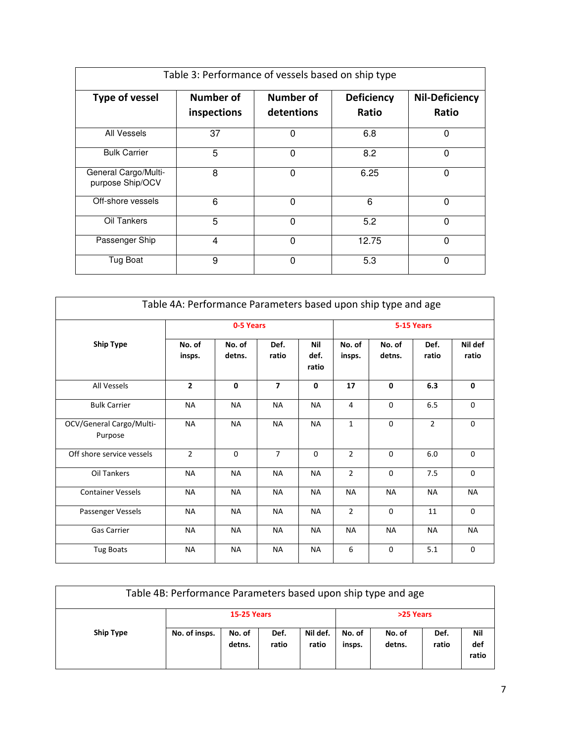| Table 3: Performance of vessels based on ship type |                          |                         |                            |                                |  |  |  |  |
|----------------------------------------------------|--------------------------|-------------------------|----------------------------|--------------------------------|--|--|--|--|
| Type of vessel                                     | Number of<br>inspections | Number of<br>detentions | <b>Deficiency</b><br>Ratio | <b>Nil-Deficiency</b><br>Ratio |  |  |  |  |
| All Vessels                                        | 37                       | $\Omega$                | 6.8                        | $\Omega$                       |  |  |  |  |
| <b>Bulk Carrier</b>                                | 5                        | $\Omega$                | 8.2                        | $\mathbf{0}$                   |  |  |  |  |
| General Cargo/Multi-<br>purpose Ship/OCV           | 8                        | $\mathbf{0}$            | 6.25                       | 0                              |  |  |  |  |
| Off-shore vessels                                  | 6                        | $\Omega$                | 6                          | $\Omega$                       |  |  |  |  |
| Oil Tankers                                        | 5                        | $\Omega$                | 5.2                        | $\mathbf{0}$                   |  |  |  |  |
| Passenger Ship                                     | 4                        | $\Omega$                | 12.75                      | $\Omega$                       |  |  |  |  |
| Tug Boat                                           | 9                        | $\Omega$                | 5.3                        | $\mathbf{0}$                   |  |  |  |  |

| Table 4A: Performance Parameters based upon ship type and age |                  |                  |                |                      |                  |                  |                |                  |
|---------------------------------------------------------------|------------------|------------------|----------------|----------------------|------------------|------------------|----------------|------------------|
|                                                               |                  | 0-5 Years        |                |                      |                  |                  | 5-15 Years     |                  |
| <b>Ship Type</b>                                              | No. of<br>insps. | No. of<br>detns. | Def.<br>ratio  | Nil<br>def.<br>ratio | No. of<br>insps. | No. of<br>detns. | Def.<br>ratio  | Nil def<br>ratio |
| All Vessels                                                   | $\overline{2}$   | $\mathbf{0}$     | $\overline{ }$ | 0                    | 17               | $\mathbf{0}$     | 6.3            | 0                |
| <b>Bulk Carrier</b>                                           | <b>NA</b>        | <b>NA</b>        | <b>NA</b>      | <b>NA</b>            | 4                | $\mathbf 0$      | 6.5            | $\mathbf 0$      |
| OCV/General Cargo/Multi-<br>Purpose                           | <b>NA</b>        | <b>NA</b>        | <b>NA</b>      | <b>NA</b>            | $\mathbf{1}$     | $\mathbf 0$      | $\overline{2}$ | $\mathbf 0$      |
| Off shore service vessels                                     | $\overline{2}$   | $\Omega$         | $\overline{7}$ | $\Omega$             | $\overline{2}$   | $\Omega$         | $6.0\,$        | $\mathbf 0$      |
| Oil Tankers                                                   | <b>NA</b>        | <b>NA</b>        | <b>NA</b>      | <b>NA</b>            | $\overline{2}$   | $\mathbf 0$      | 7.5            | $\mathbf 0$      |
| <b>Container Vessels</b>                                      | <b>NA</b>        | <b>NA</b>        | <b>NA</b>      | <b>NA</b>            | <b>NA</b>        | <b>NA</b>        | <b>NA</b>      | <b>NA</b>        |
| Passenger Vessels                                             | <b>NA</b>        | <b>NA</b>        | <b>NA</b>      | <b>NA</b>            | $\overline{2}$   | $\mathbf 0$      | 11             | $\mathbf 0$      |
| <b>Gas Carrier</b>                                            | <b>NA</b>        | <b>NA</b>        | <b>NA</b>      | <b>NA</b>            | <b>NA</b>        | <b>NA</b>        | <b>NA</b>      | <b>NA</b>        |
| <b>Tug Boats</b>                                              | <b>NA</b>        | <b>NA</b>        | <b>NA</b>      | <b>NA</b>            | 6                | $\Omega$         | 5.1            | $\mathbf 0$      |

| Table 4B: Performance Parameters based upon ship type and age |                    |                  |               |                   |                  |                  |               |                     |
|---------------------------------------------------------------|--------------------|------------------|---------------|-------------------|------------------|------------------|---------------|---------------------|
|                                                               | <b>15-25 Years</b> |                  |               | >25 Years         |                  |                  |               |                     |
| <b>Ship Type</b>                                              | No. of insps.      | No. of<br>detns. | Def.<br>ratio | Nil def.<br>ratio | No. of<br>insps. | No. of<br>detns. | Def.<br>ratio | Nil<br>def<br>ratio |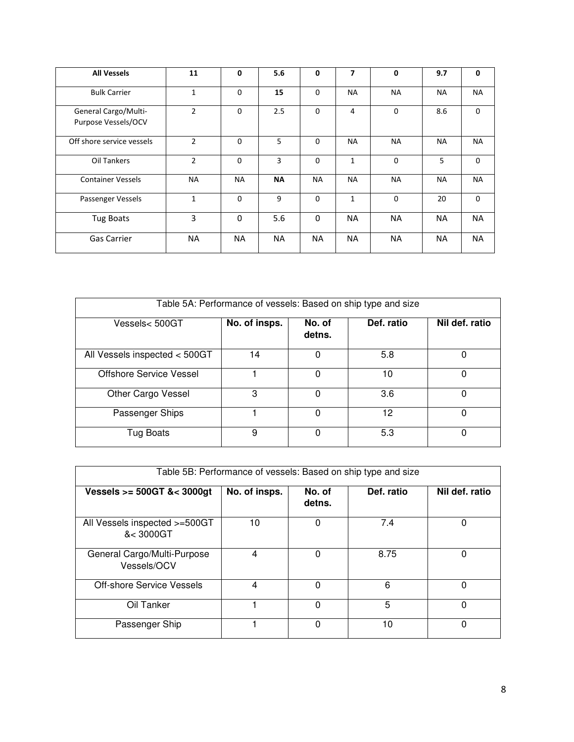| <b>All Vessels</b>                          | 11             | 0           | 5.6       | 0            | 7              | $\mathbf 0$ | 9.7       | $\mathbf{0}$ |
|---------------------------------------------|----------------|-------------|-----------|--------------|----------------|-------------|-----------|--------------|
| <b>Bulk Carrier</b>                         | $\mathbf{1}$   | $\mathbf 0$ | 15        | $\Omega$     | <b>NA</b>      | <b>NA</b>   | <b>NA</b> | <b>NA</b>    |
| General Cargo/Multi-<br>Purpose Vessels/OCV | $\overline{2}$ | $\mathbf 0$ | 2.5       | $\Omega$     | $\overline{4}$ | $\mathbf 0$ | 8.6       | $\mathbf{0}$ |
| Off shore service vessels                   | $\overline{2}$ | $\Omega$    | 5         | $\Omega$     | <b>NA</b>      | <b>NA</b>   | <b>NA</b> | <b>NA</b>    |
| Oil Tankers                                 | $\overline{2}$ | $\mathbf 0$ | 3         | 0            | 1              | $\mathbf 0$ | 5         | $\mathbf{0}$ |
| <b>Container Vessels</b>                    | <b>NA</b>      | <b>NA</b>   | <b>NA</b> | <b>NA</b>    | <b>NA</b>      | <b>NA</b>   | <b>NA</b> | <b>NA</b>    |
| Passenger Vessels                           | $\mathbf{1}$   | $\Omega$    | 9         | $\mathbf 0$  | $\mathbf{1}$   | $\Omega$    | 20        | $\mathbf{0}$ |
| <b>Tug Boats</b>                            | 3              | 0           | 5.6       | $\mathbf{0}$ | <b>NA</b>      | <b>NA</b>   | <b>NA</b> | <b>NA</b>    |
| <b>Gas Carrier</b>                          | <b>NA</b>      | <b>NA</b>   | NA.       | <b>NA</b>    | <b>NA</b>      | <b>NA</b>   | <b>NA</b> | <b>NA</b>    |

| Table 5A: Performance of vessels: Based on ship type and size |               |                  |            |                |  |  |  |  |  |
|---------------------------------------------------------------|---------------|------------------|------------|----------------|--|--|--|--|--|
| Vessels< 500GT                                                | No. of insps. | No. of<br>detns. | Def. ratio | Nil def. ratio |  |  |  |  |  |
| All Vessels inspected < 500GT                                 | 14            | 0                | 5.8        | 0              |  |  |  |  |  |
| Offshore Service Vessel                                       |               | 0                | 10         | 0              |  |  |  |  |  |
| Other Cargo Vessel                                            | 3             | 0                | 3.6        | 0              |  |  |  |  |  |
| Passenger Ships                                               |               | 0                | 12         | 0              |  |  |  |  |  |
| Tug Boats                                                     | 9             | 0                | 5.3        | 0              |  |  |  |  |  |

| Table 5B: Performance of vessels: Based on ship type and size |               |                  |            |                |
|---------------------------------------------------------------|---------------|------------------|------------|----------------|
| Vessels $>= 500$ GT &< 3000gt                                 | No. of insps. | No. of<br>detns. | Def. ratio | Nil def. ratio |
| All Vessels inspected >=500GT<br>$8 < 3000$ GT                | 10            | 0                | 7.4        | 0              |
| General Cargo/Multi-Purpose<br>Vessels/OCV                    | 4             | 0                | 8.75       | 0              |
| Off-shore Service Vessels                                     | 4             | 0                | 6          | 0              |
| Oil Tanker                                                    |               | $\Omega$         | 5          | 0              |
| Passenger Ship                                                |               | 0                | 10         | 0              |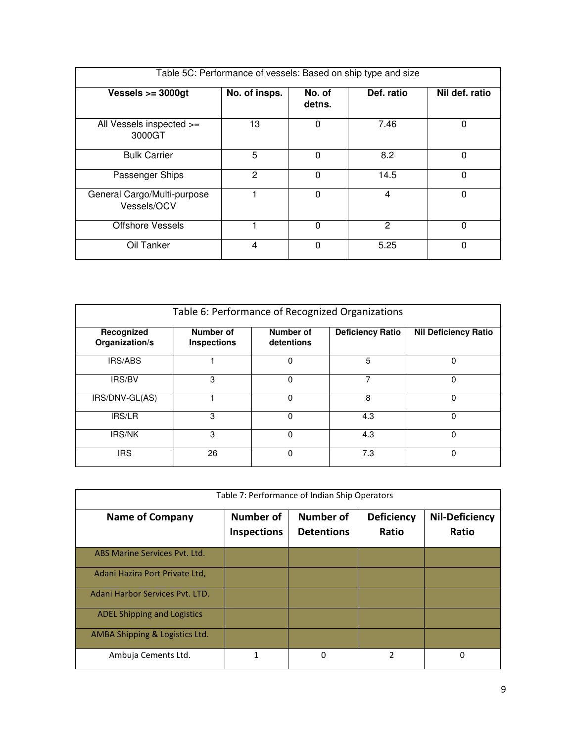| Table 5C: Performance of vessels: Based on ship type and size |               |                  |            |                |
|---------------------------------------------------------------|---------------|------------------|------------|----------------|
| Vessels $>=$ 3000gt                                           | No. of insps. | No. of<br>detns. | Def. ratio | Nil def. ratio |
| All Vessels inspected >=<br>3000GT                            | 13            | 0                | 7.46       | 0              |
| <b>Bulk Carrier</b>                                           | 5             | 0                | 8.2        | 0              |
| Passenger Ships                                               | 2             | $\mathbf{0}$     | 14.5       | 0              |
| General Cargo/Multi-purpose<br>Vessels/OCV                    |               | 0                | 4          | 0              |
| <b>Offshore Vessels</b>                                       |               | 0                | 2          | 0              |
| Oil Tanker                                                    | 4             | 0                | 5.25       | 0              |

| Table 6: Performance of Recognized Organizations |                                 |                         |                         |                             |  |
|--------------------------------------------------|---------------------------------|-------------------------|-------------------------|-----------------------------|--|
| Recognized<br>Organization/s                     | Number of<br><b>Inspections</b> | Number of<br>detentions | <b>Deficiency Ratio</b> | <b>Nil Deficiency Ratio</b> |  |
| <b>IRS/ABS</b>                                   |                                 | 0                       | 5                       | 0                           |  |
| IRS/BV                                           | 3                               | 0                       | 7                       | 0                           |  |
| IRS/DNV-GL(AS)                                   |                                 | 0                       | 8                       | 0                           |  |
| IRS/LR                                           | 3                               | 0                       | 4.3                     | 0                           |  |
| <b>IRS/NK</b>                                    | 3                               | $\Omega$                | 4.3                     | $\Omega$                    |  |
| IRS                                              | 26                              | $\Omega$                | 7.3                     | 0                           |  |

| Table 7: Performance of Indian Ship Operators |                                        |                                       |                            |                                |  |
|-----------------------------------------------|----------------------------------------|---------------------------------------|----------------------------|--------------------------------|--|
| <b>Name of Company</b>                        | <b>Number of</b><br><b>Inspections</b> | <b>Number of</b><br><b>Detentions</b> | <b>Deficiency</b><br>Ratio | <b>Nil-Deficiency</b><br>Ratio |  |
| ABS Marine Services Pyt. Ltd.                 |                                        |                                       |                            |                                |  |
| Adani Hazira Port Private Ltd,                |                                        |                                       |                            |                                |  |
| Adani Harbor Services Pyt. LTD.               |                                        |                                       |                            |                                |  |
| <b>ADEL Shipping and Logistics</b>            |                                        |                                       |                            |                                |  |
| AMBA Shipping & Logistics Ltd.                |                                        |                                       |                            |                                |  |
| Ambuja Cements Ltd.                           | 1                                      | 0                                     | $\overline{\phantom{a}}$   | 0                              |  |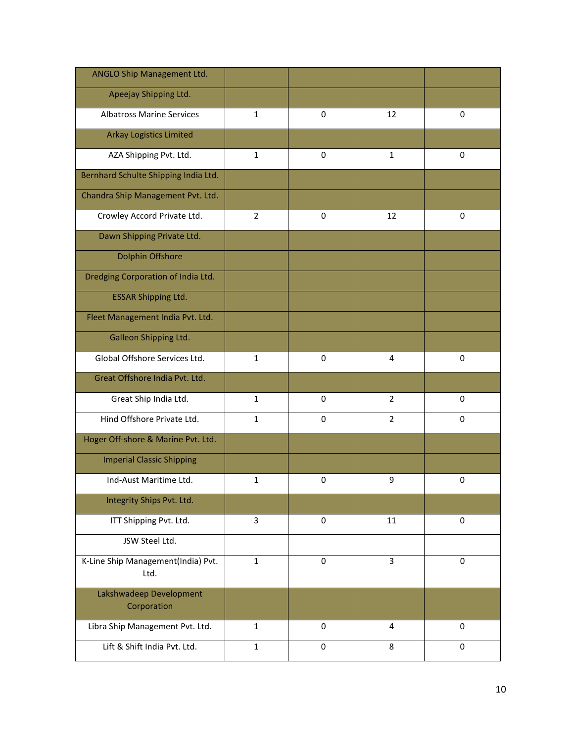| <b>ANGLO Ship Management Ltd.</b>          |                |             |                |             |
|--------------------------------------------|----------------|-------------|----------------|-------------|
| Apeejay Shipping Ltd.                      |                |             |                |             |
| <b>Albatross Marine Services</b>           | 1              | $\Omega$    | 12             | $\mathbf 0$ |
| <b>Arkay Logistics Limited</b>             |                |             |                |             |
| AZA Shipping Pvt. Ltd.                     | $\mathbf{1}$   | 0           | $\mathbf{1}$   | $\mathbf 0$ |
| Bernhard Schulte Shipping India Ltd.       |                |             |                |             |
| Chandra Ship Management Pvt. Ltd.          |                |             |                |             |
| Crowley Accord Private Ltd.                | $\overline{2}$ | $\Omega$    | 12             | 0           |
| Dawn Shipping Private Ltd.                 |                |             |                |             |
| Dolphin Offshore                           |                |             |                |             |
| Dredging Corporation of India Ltd.         |                |             |                |             |
| <b>ESSAR Shipping Ltd.</b>                 |                |             |                |             |
| Fleet Management India Pvt. Ltd.           |                |             |                |             |
| Galleon Shipping Ltd.                      |                |             |                |             |
| Global Offshore Services Ltd.              | $\mathbf{1}$   | $\mathbf 0$ | 4              | $\mathbf 0$ |
| Great Offshore India Pvt. Ltd.             |                |             |                |             |
| Great Ship India Ltd.                      | $\mathbf{1}$   | 0           | $\overline{2}$ | 0           |
| Hind Offshore Private Ltd.                 | $\mathbf{1}$   | $\Omega$    | $\overline{2}$ | 0           |
| Hoger Off-shore & Marine Pvt. Ltd.         |                |             |                |             |
| <b>Imperial Classic Shipping</b>           |                |             |                |             |
| Ind-Aust Maritime Ltd.                     | $\mathbf{1}$   | 0           | 9              | 0           |
| Integrity Ships Pvt. Ltd.                  |                |             |                |             |
| ITT Shipping Pvt. Ltd.                     | 3              | $\mathbf 0$ | 11             | $\mathbf 0$ |
| JSW Steel Ltd.                             |                |             |                |             |
| K-Line Ship Management(India) Pvt.<br>Ltd. | $\mathbf{1}$   | 0           | 3              | $\mathbf 0$ |
| Lakshwadeep Development<br>Corporation     |                |             |                |             |
| Libra Ship Management Pvt. Ltd.            | $\mathbf{1}$   | $\mathbf 0$ | 4              | $\mathbf 0$ |
| Lift & Shift India Pvt. Ltd.               | $\mathbf{1}$   | $\pmb{0}$   | 8              | $\pmb{0}$   |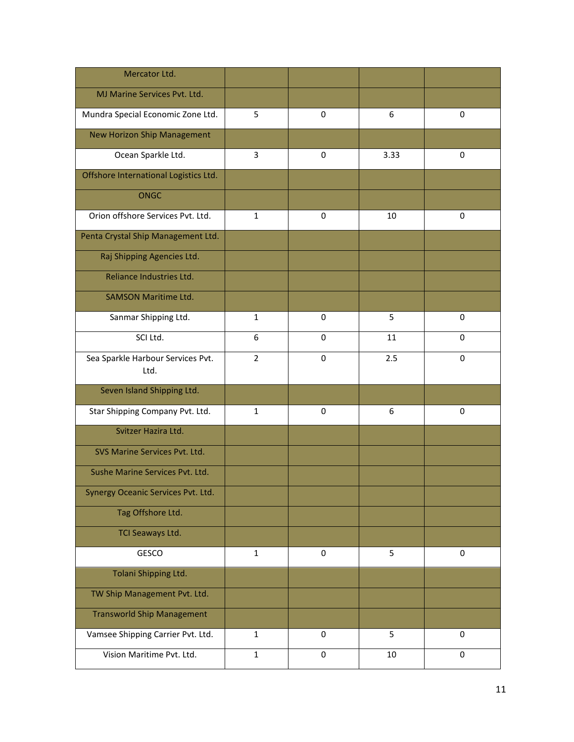| Mercator Ltd.                             |                |                  |      |             |
|-------------------------------------------|----------------|------------------|------|-------------|
| MJ Marine Services Pvt. Ltd.              |                |                  |      |             |
| Mundra Special Economic Zone Ltd.         | 5              | 0                | 6    | 0           |
| New Horizon Ship Management               |                |                  |      |             |
| Ocean Sparkle Ltd.                        | 3              | 0                | 3.33 | $\mathbf 0$ |
| Offshore International Logistics Ltd.     |                |                  |      |             |
| <b>ONGC</b>                               |                |                  |      |             |
| Orion offshore Services Pvt. Ltd.         | $\mathbf{1}$   | 0                | 10   | $\mathbf 0$ |
| Penta Crystal Ship Management Ltd.        |                |                  |      |             |
| Raj Shipping Agencies Ltd.                |                |                  |      |             |
| Reliance Industries Ltd.                  |                |                  |      |             |
| <b>SAMSON Maritime Ltd.</b>               |                |                  |      |             |
| Sanmar Shipping Ltd.                      | $\mathbf{1}$   | $\mathbf 0$      | 5    | $\mathbf 0$ |
| SCI Ltd.                                  | 6              | $\mathbf 0$      | 11   | $\mathbf 0$ |
| Sea Sparkle Harbour Services Pvt.<br>Ltd. | $\overline{2}$ | 0                | 2.5  | $\mathbf 0$ |
| Seven Island Shipping Ltd.                |                |                  |      |             |
| Star Shipping Company Pvt. Ltd.           | $\mathbf{1}$   | $\mathbf 0$      | 6    | 0           |
| Svitzer Hazira Ltd.                       |                |                  |      |             |
| SVS Marine Services Pvt. Ltd.             |                |                  |      |             |
| Sushe Marine Services Pvt. Ltd.           |                |                  |      |             |
| Synergy Oceanic Services Pvt. Ltd.        |                |                  |      |             |
| Tag Offshore Ltd.                         |                |                  |      |             |
| TCI Seaways Ltd.                          |                |                  |      |             |
| GESCO                                     | $\mathbf{1}$   | 0                | 5    | $\pmb{0}$   |
| Tolani Shipping Ltd.                      |                |                  |      |             |
| TW Ship Management Pvt. Ltd.              |                |                  |      |             |
| <b>Transworld Ship Management</b>         |                |                  |      |             |
| Vamsee Shipping Carrier Pvt. Ltd.         | $\mathbf{1}$   | 0                | 5    | 0           |
| Vision Maritime Pvt. Ltd.                 | $\mathbf{1}$   | $\boldsymbol{0}$ | 10   | $\pmb{0}$   |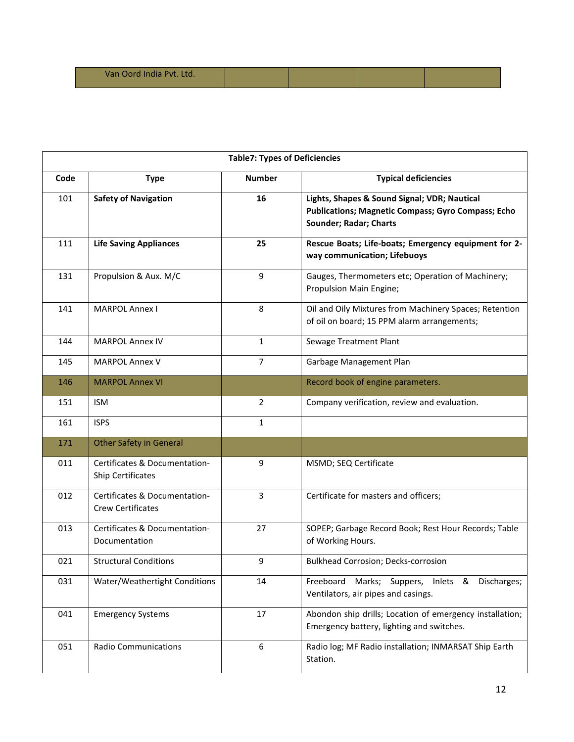| Van Oord India Pvt. Ltd. |  |  |  |  |
|--------------------------|--|--|--|--|
|--------------------------|--|--|--|--|

|      | <b>Table7: Types of Deficiencies</b>                      |                |                                                                                                                                     |  |  |  |  |
|------|-----------------------------------------------------------|----------------|-------------------------------------------------------------------------------------------------------------------------------------|--|--|--|--|
| Code | <b>Type</b>                                               | <b>Number</b>  | <b>Typical deficiencies</b>                                                                                                         |  |  |  |  |
| 101  | <b>Safety of Navigation</b>                               | 16             | Lights, Shapes & Sound Signal; VDR; Nautical<br><b>Publications; Magnetic Compass; Gyro Compass; Echo</b><br>Sounder; Radar; Charts |  |  |  |  |
| 111  | <b>Life Saving Appliances</b>                             | 25             | Rescue Boats; Life-boats; Emergency equipment for 2-<br>way communication; Lifebuoys                                                |  |  |  |  |
| 131  | Propulsion & Aux. M/C                                     | 9              | Gauges, Thermometers etc; Operation of Machinery;<br>Propulsion Main Engine;                                                        |  |  |  |  |
| 141  | <b>MARPOL Annex I</b>                                     | 8              | Oil and Oily Mixtures from Machinery Spaces; Retention<br>of oil on board; 15 PPM alarm arrangements;                               |  |  |  |  |
| 144  | <b>MARPOL Annex IV</b>                                    | 1              | Sewage Treatment Plant                                                                                                              |  |  |  |  |
| 145  | <b>MARPOL Annex V</b>                                     | $\overline{7}$ | Garbage Management Plan                                                                                                             |  |  |  |  |
| 146  | <b>MARPOL Annex VI</b>                                    |                | Record book of engine parameters.                                                                                                   |  |  |  |  |
| 151  | <b>ISM</b>                                                | $\overline{2}$ | Company verification, review and evaluation.                                                                                        |  |  |  |  |
| 161  | <b>ISPS</b>                                               | $\mathbf{1}$   |                                                                                                                                     |  |  |  |  |
| 171  | <b>Other Safety in General</b>                            |                |                                                                                                                                     |  |  |  |  |
| 011  | Certificates & Documentation-<br>Ship Certificates        | 9              | MSMD; SEQ Certificate                                                                                                               |  |  |  |  |
| 012  | Certificates & Documentation-<br><b>Crew Certificates</b> | 3              | Certificate for masters and officers;                                                                                               |  |  |  |  |
| 013  | Certificates & Documentation-<br>Documentation            | 27             | SOPEP; Garbage Record Book; Rest Hour Records; Table<br>of Working Hours.                                                           |  |  |  |  |
| 021  | <b>Structural Conditions</b>                              | 9              | <b>Bulkhead Corrosion; Decks-corrosion</b>                                                                                          |  |  |  |  |
| 031  | Water/Weathertight Conditions                             | 14             | Marks; Suppers, Inlets &<br>Discharges;<br>Freeboard<br>Ventilators, air pipes and casings.                                         |  |  |  |  |
| 041  | <b>Emergency Systems</b>                                  | 17             | Abondon ship drills; Location of emergency installation;<br>Emergency battery, lighting and switches.                               |  |  |  |  |
| 051  | <b>Radio Communications</b>                               | 6              | Radio log; MF Radio installation; INMARSAT Ship Earth<br>Station.                                                                   |  |  |  |  |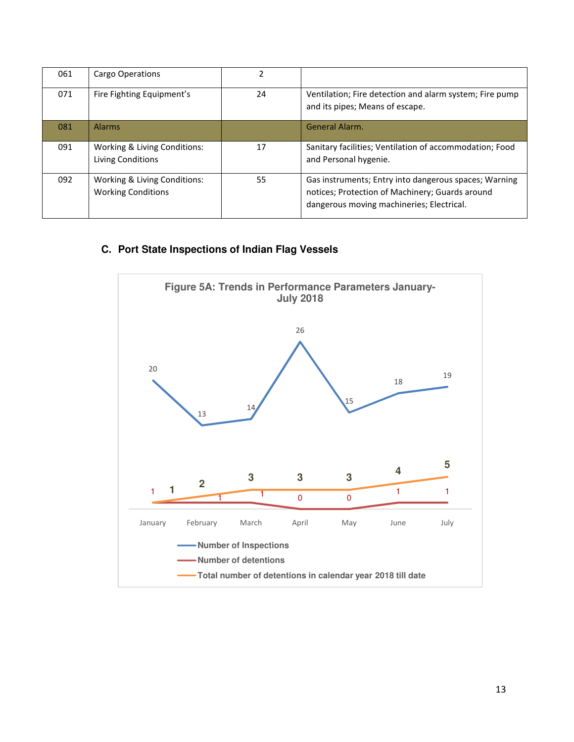| 061 | Cargo Operations                                          | $\mathcal{P}$ |                                                                                                                                                       |
|-----|-----------------------------------------------------------|---------------|-------------------------------------------------------------------------------------------------------------------------------------------------------|
| 071 | Fire Fighting Equipment's                                 | 24            | Ventilation; Fire detection and alarm system; Fire pump<br>and its pipes; Means of escape.                                                            |
| 081 | <b>Alarms</b>                                             |               | <b>General Alarm.</b>                                                                                                                                 |
| 091 | Working & Living Conditions:<br>Living Conditions         | 17            | Sanitary facilities; Ventilation of accommodation; Food<br>and Personal hygenie.                                                                      |
| 092 | Working & Living Conditions:<br><b>Working Conditions</b> | 55            | Gas instruments; Entry into dangerous spaces; Warning<br>notices; Protection of Machinery; Guards around<br>dangerous moving machineries; Electrical. |

## **C. Port State Inspections of Indian Flag Vessels**

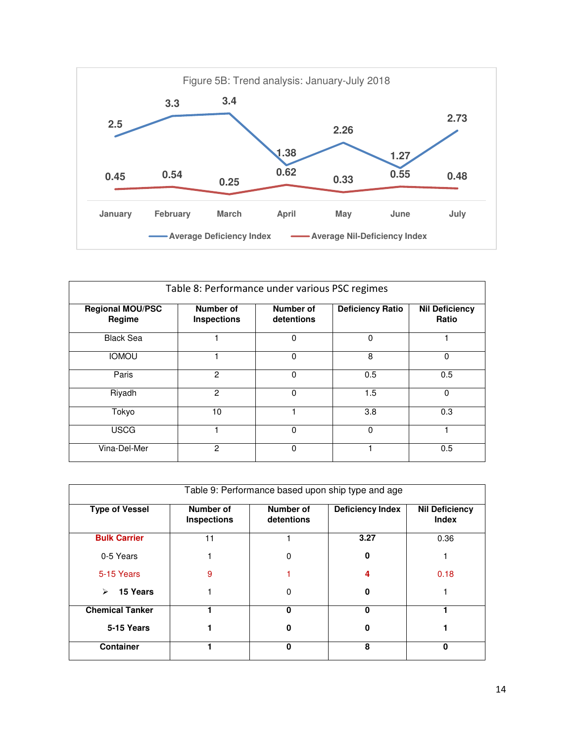

| Table 8: Performance under various PSC regimes |                                 |                         |                         |                                |  |
|------------------------------------------------|---------------------------------|-------------------------|-------------------------|--------------------------------|--|
| <b>Regional MOU/PSC</b><br>Regime              | Number of<br><b>Inspections</b> | Number of<br>detentions | <b>Deficiency Ratio</b> | <b>Nil Deficiency</b><br>Ratio |  |
| <b>Black Sea</b>                               |                                 | 0                       | 0                       |                                |  |
| <b>IOMOU</b>                                   |                                 | 0                       | 8                       | 0                              |  |
| Paris                                          | $\overline{2}$                  | $\Omega$                | 0.5                     | 0.5                            |  |
| Riyadh                                         | $\mathfrak{p}$                  | $\Omega$                | 1.5                     | $\Omega$                       |  |
| Tokyo                                          | 10                              |                         | 3.8                     | 0.3                            |  |
| <b>USCG</b>                                    |                                 | $\Omega$                | 0                       |                                |  |
| Vina-Del-Mer                                   | $\mathcal{P}$                   | 0                       |                         | 0.5                            |  |

| Table 9: Performance based upon ship type and age |                                 |                         |                         |                                       |  |
|---------------------------------------------------|---------------------------------|-------------------------|-------------------------|---------------------------------------|--|
| <b>Type of Vessel</b>                             | Number of<br><b>Inspections</b> | Number of<br>detentions | <b>Deficiency Index</b> | <b>Nil Deficiency</b><br><b>Index</b> |  |
| <b>Bulk Carrier</b>                               | 11                              |                         | 3.27                    | 0.36                                  |  |
| 0-5 Years                                         |                                 | 0                       | 0                       |                                       |  |
| 5-15 Years                                        | 9                               |                         | 4                       | 0.18                                  |  |
| 15 Years<br>⋗                                     |                                 | 0                       | 0                       |                                       |  |
| <b>Chemical Tanker</b>                            |                                 | $\bf{0}$                | 0                       |                                       |  |
| 5-15 Years                                        |                                 | 0                       | 0                       |                                       |  |
| <b>Container</b>                                  |                                 | ŋ                       | 8                       | O                                     |  |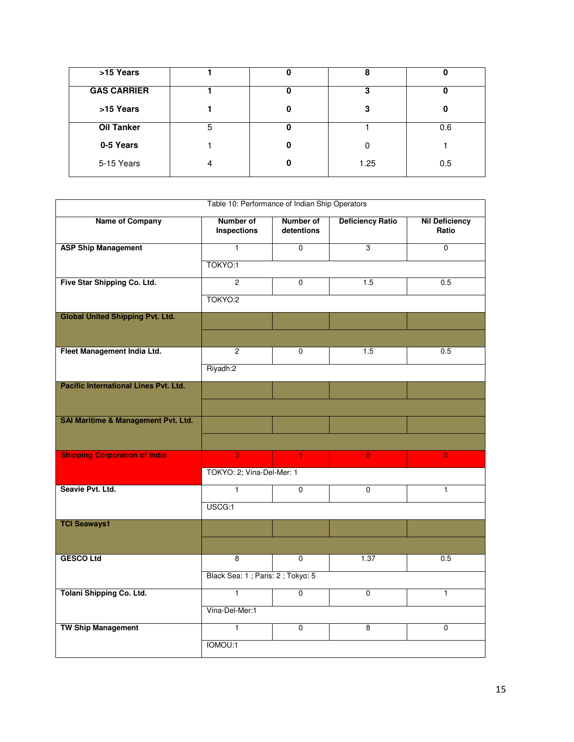| >15 Years          |   |   | 8    |     |
|--------------------|---|---|------|-----|
| <b>GAS CARRIER</b> |   |   | ≏    |     |
| >15 Years          |   | 0 | 3    | 0   |
| <b>Oil Tanker</b>  | 5 |   |      | 0.6 |
| 0-5 Years          |   | 0 | 0    |     |
| 5-15 Years         | 4 |   | 1.25 | 0.5 |

| Table 10: Performance of Indian Ship Operators |                                  |                                |                         |                                |  |
|------------------------------------------------|----------------------------------|--------------------------------|-------------------------|--------------------------------|--|
| <b>Name of Company</b>                         | <b>Number of</b><br>Inspections  | <b>Number of</b><br>detentions | <b>Deficiency Ratio</b> | <b>Nil Deficiency</b><br>Ratio |  |
| <b>ASP Ship Management</b>                     | $\mathbf{1}$                     | $\Omega$                       | 3                       | $\mathbf 0$                    |  |
|                                                | TOKYO:1                          |                                |                         |                                |  |
| Five Star Shipping Co. Ltd.                    | $\mathcal{P}$                    | $\Omega$                       | 1.5                     | 0.5                            |  |
|                                                | TOKYO:2                          |                                |                         |                                |  |
| <b>Global United Shipping Pvt. Ltd.</b>        |                                  |                                |                         |                                |  |
|                                                |                                  |                                |                         |                                |  |
| Fleet Management India Ltd.                    | $\overline{c}$                   | $\Omega$                       | 1.5                     | 0.5                            |  |
|                                                | Riyadh:2                         |                                |                         |                                |  |
| <b>Pacific International Lines Pvt. Ltd.</b>   |                                  |                                |                         |                                |  |
|                                                |                                  |                                |                         |                                |  |
| <b>SAI Maritime &amp; Management Pvt. Ltd.</b> |                                  |                                |                         |                                |  |
|                                                |                                  |                                |                         |                                |  |
| <b>Shipping Corporation of India</b>           | $\overline{3}$                   | $\mathbf{1}$                   | $\overline{8}$          | $\overline{0}$                 |  |
|                                                | TOKYO: 2; Vina-Del-Mer: 1        |                                |                         |                                |  |
| Seavie Pvt. Ltd.                               | $\mathbf{1}$                     | $\overline{0}$                 | $\overline{0}$          | $\mathbf{1}$                   |  |
|                                                | USCG:1                           |                                |                         |                                |  |
| <b>TCI Seaways1</b>                            |                                  |                                |                         |                                |  |
|                                                |                                  |                                |                         |                                |  |
| <b>GESCO Ltd</b>                               | 8                                | $\mathbf 0$                    | 1.37                    | 0.5                            |  |
|                                                | Black Sea: 1; Paris: 2; Tokyo: 5 |                                |                         |                                |  |
| <b>Tolani Shipping Co. Ltd.</b>                | $\overline{1}$                   | $\overline{0}$                 | $\overline{0}$          | $\mathbf{1}$                   |  |
|                                                | Vina-Del-Mer:1                   |                                |                         |                                |  |
| <b>TW Ship Management</b>                      | $\overline{1}$                   | $\overline{0}$                 | $\overline{8}$          | $\overline{0}$                 |  |
|                                                | IOMOU:1                          |                                |                         |                                |  |
|                                                |                                  |                                |                         |                                |  |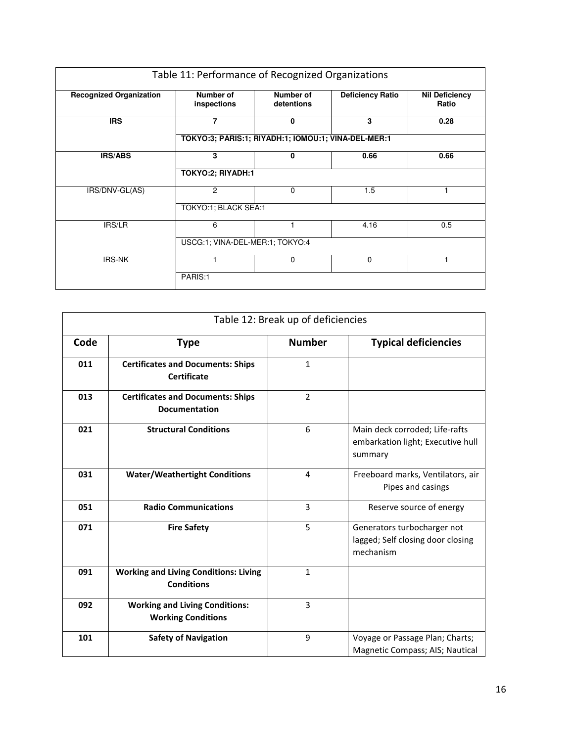| Table 11: Performance of Recognized Organizations |                                                     |                                |                         |                                |  |
|---------------------------------------------------|-----------------------------------------------------|--------------------------------|-------------------------|--------------------------------|--|
| <b>Recognized Organization</b>                    | <b>Number of</b><br>inspections                     | <b>Number of</b><br>detentions | <b>Deficiency Ratio</b> | <b>Nil Deficiency</b><br>Ratio |  |
| <b>IRS</b>                                        | 7                                                   | 0                              | 3                       | 0.28                           |  |
|                                                   | TOKYO:3; PARIS:1; RIYADH:1; IOMOU:1; VINA-DEL-MER:1 |                                |                         |                                |  |
| <b>IRS/ABS</b>                                    | 3                                                   | 0                              | 0.66                    | 0.66                           |  |
|                                                   | TOKYO:2; RIYADH:1                                   |                                |                         |                                |  |
| IRS/DNV-GL(AS)                                    | 2                                                   | 0                              | 1.5                     |                                |  |
|                                                   | TOKYO:1; BLACK SEA:1                                |                                |                         |                                |  |
| <b>IRS/LR</b>                                     | 6                                                   |                                | 4.16                    | 0.5                            |  |
|                                                   | USCG:1; VINA-DEL-MER:1; TOKYO:4                     |                                |                         |                                |  |
| <b>IRS-NK</b>                                     |                                                     | $\Omega$                       | $\Omega$                | 1                              |  |
|                                                   | PARIS:1                                             |                                |                         |                                |  |

| Table 12: Break up of deficiencies |                                                                    |                |                                                                                |  |
|------------------------------------|--------------------------------------------------------------------|----------------|--------------------------------------------------------------------------------|--|
| Code                               | <b>Type</b>                                                        | <b>Number</b>  | <b>Typical deficiencies</b>                                                    |  |
| 011                                | <b>Certificates and Documents: Ships</b><br><b>Certificate</b>     | $\mathbf{1}$   |                                                                                |  |
| 013                                | <b>Certificates and Documents: Ships</b><br><b>Documentation</b>   | $\overline{2}$ |                                                                                |  |
| 021                                | <b>Structural Conditions</b>                                       | 6              | Main deck corroded; Life-rafts<br>embarkation light; Executive hull<br>summary |  |
| 031                                | <b>Water/Weathertight Conditions</b>                               | 4              | Freeboard marks, Ventilators, air<br>Pipes and casings                         |  |
| 051                                | <b>Radio Communications</b>                                        | 3              | Reserve source of energy                                                       |  |
| 071                                | <b>Fire Safety</b>                                                 | 5              | Generators turbocharger not<br>lagged; Self closing door closing<br>mechanism  |  |
| 091                                | <b>Working and Living Conditions: Living</b><br><b>Conditions</b>  | $\mathbf{1}$   |                                                                                |  |
| 092                                | <b>Working and Living Conditions:</b><br><b>Working Conditions</b> | 3              |                                                                                |  |
| 101                                | <b>Safety of Navigation</b>                                        | 9              | Voyage or Passage Plan; Charts;<br>Magnetic Compass; AIS; Nautical             |  |